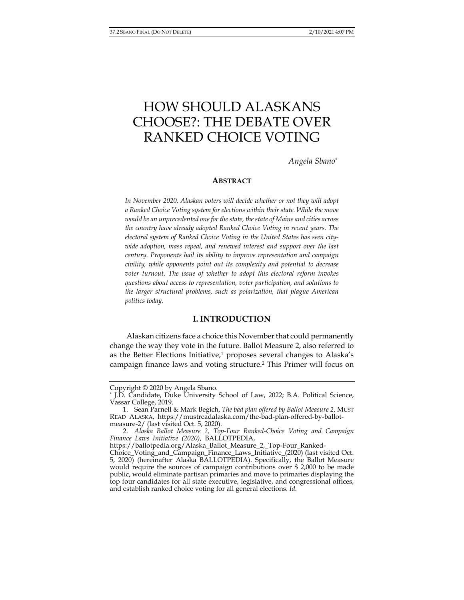# HOW SHOULD ALASKANS CHOOSE?: THE DEBATE OVER RANKED CHOICE VOTING

*Angela Sbano\**

## **ABSTRACT**

*In November 2020, Alaskan voters will decide whether or not they will adopt a Ranked Choice Voting system for elections within their state. While the move would be an unprecedented one for the state, the state of Maine and cities across the country have already adopted Ranked Choice Voting in recent years. The electoral system of Ranked Choice Voting in the United States has seen citywide adoption, mass repeal, and renewed interest and support over the last century. Proponents hail its ability to improve representation and campaign civility, while opponents point out its complexity and potential to decrease voter turnout. The issue of whether to adopt this electoral reform invokes questions about access to representation, voter participation, and solutions to the larger structural problems, such as polarization, that plague American politics today.* 

### **I. INTRODUCTION**

Alaskan citizens face a choice this November that could permanently change the way they vote in the future. Ballot Measure 2, also referred to as the Better Elections Initiative,<sup>1</sup> proposes several changes to Alaska's campaign finance laws and voting structure.2 This Primer will focus on

Copyright © 2020 by Angela Sbano.

<sup>\*</sup> J.D. Candidate, Duke University School of Law, 2022; B.A. Political Science, Vassar College, 2019.

 <sup>1.</sup> Sean Parnell & Mark Begich, *The bad plan offered by Ballot Measure 2*, MUST READ ALASKA, https://mustreadalaska.com/the-bad-plan-offered-by-ballotmeasure-2/ (last visited Oct. 5, 2020).

 <sup>2.</sup> *Alaska Ballot Measure 2, Top-Four Ranked-Choice Voting and Campaign Finance Laws Initiative (2020)*, BALLOTPEDIA,

https://ballotpedia.org/Alaska\_Ballot\_Measure\_2,\_Top-Four\_Ranked-

Choice\_Voting\_and\_Campaign\_Finance\_Laws\_Initiative\_(2020) (last visited Oct. 5, 2020) (hereinafter Alaska BALLOTPEDIA). Specifically, the Ballot Measure would require the sources of campaign contributions over \$ 2,000 to be made public, would eliminate partisan primaries and move to primaries displaying the top four candidates for all state executive, legislative, and congressional offices, and establish ranked choice voting for all general elections. *Id.*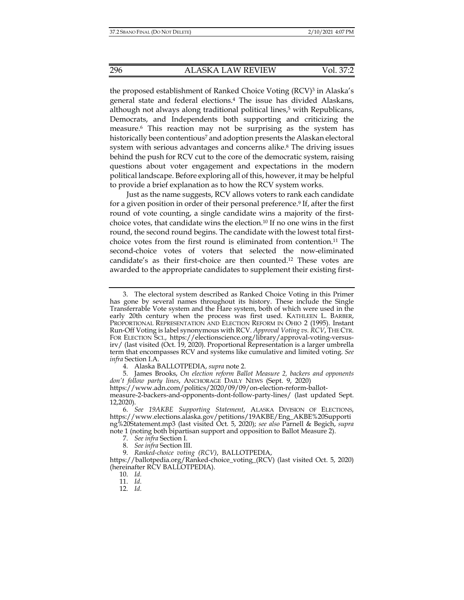the proposed establishment of Ranked Choice Voting (RCV)<sup>3</sup> in Alaska's general state and federal elections.4 The issue has divided Alaskans, although not always along traditional political lines,<sup>5</sup> with Republicans, Democrats, and Independents both supporting and criticizing the measure.6 This reaction may not be surprising as the system has historically been contentious<sup>7</sup> and adoption presents the Alaskan electoral system with serious advantages and concerns alike.<sup>8</sup> The driving issues behind the push for RCV cut to the core of the democratic system, raising questions about voter engagement and expectations in the modern political landscape. Before exploring all of this, however, it may be helpful to provide a brief explanation as to how the RCV system works.

Just as the name suggests, RCV allows voters to rank each candidate for a given position in order of their personal preference.<sup>9</sup> If, after the first round of vote counting, a single candidate wins a majority of the firstchoice votes, that candidate wins the election.10 If no one wins in the first round, the second round begins. The candidate with the lowest total firstchoice votes from the first round is eliminated from contention.11 The second-choice votes of voters that selected the now-eliminated candidate's as their first-choice are then counted.12 These votes are awarded to the appropriate candidates to supplement their existing first-

 5. James Brooks, *On election reform Ballot Measure 2, backers and opponents don't follow party lines*, ANCHORAGE DAILY NEWS (Sept. 9, 2020)

- 7. *See infra* Section I.
- 8. *See infra* Section III.
- 9. *Ranked-choice voting (RCV)*, BALLOTPEDIA,

12. *Id.*

 <sup>3.</sup> The electoral system described as Ranked Choice Voting in this Primer has gone by several names throughout its history. These include the Single Transferrable Vote system and the Hare system, both of which were used in the early 20th century when the process was first used. KATHLEEN L. BARBER, PROPORTIONAL REPRESENTATION AND ELECTION REFORM IN OHIO 2 (1995). Instant Run-Off Voting is label synonymous with RCV. *Approval Voting vs. RCV*, THE CTR. FOR ELECTION SCI., https://electionscience.org/library/approval-voting-versusirv/ (last visited (Oct. 19, 2020). Proportional Representation is a larger umbrella term that encompasses RCV and systems like cumulative and limited voting. *See infra* Section I.A.

 <sup>4.</sup> Alaska BALLOTPEDIA, *supra* note 2.

https://www.adn.com/politics/2020/09/09/on-election-reform-ballotmeasure-2-backers-and-opponents-dont-follow-party-lines/ (last updated Sept. 12,2020).

 <sup>6.</sup> *See 19AKBE Supporting Statement*, ALASKA DIVISION OF ELECTIONS, https://www.elections.alaska.gov/petitions/19AKBE/Eng\_AKBE%20Supporti ng%20Statement.mp3 (last visited Oct. 5, 2020); *see also* Parnell & Begich, *supra*  note 1 (noting both bipartisan support and opposition to Ballot Measure 2).

https://ballotpedia.org/Ranked-choice\_voting\_(RCV) (last visited Oct. 5, 2020) (hereinafter RCV BALLOTPEDIA).

 <sup>10.</sup> *Id.*

 <sup>11.</sup> *Id.*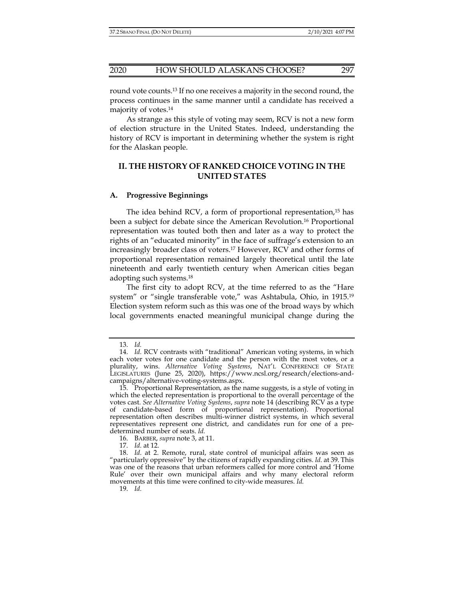round vote counts.13 If no one receives a majority in the second round, the process continues in the same manner until a candidate has received a majority of votes.14

As strange as this style of voting may seem, RCV is not a new form of election structure in the United States. Indeed, understanding the history of RCV is important in determining whether the system is right for the Alaskan people.

# **II. THE HISTORY OF RANKED CHOICE VOTING IN THE UNITED STATES**

#### **A. Progressive Beginnings**

The idea behind RCV, a form of proportional representation,15 has been a subject for debate since the American Revolution.16 Proportional representation was touted both then and later as a way to protect the rights of an "educated minority" in the face of suffrage's extension to an increasingly broader class of voters.17 However, RCV and other forms of proportional representation remained largely theoretical until the late nineteenth and early twentieth century when American cities began adopting such systems.18

The first city to adopt RCV, at the time referred to as the "Hare system" or "single transferable vote," was Ashtabula, Ohio, in 1915.19 Election system reform such as this was one of the broad ways by which local governments enacted meaningful municipal change during the

 <sup>13.</sup> *Id.* 

 <sup>14.</sup> *Id.* RCV contrasts with "traditional" American voting systems, in which each voter votes for one candidate and the person with the most votes, or a plurality, wins. *Alternative Voting Systems*, NAT'L CONFERENCE OF STATE LEGISLATURES (June 25, 2020), https://www.ncsl.org/research/elections-andcampaigns/alternative-voting-systems.aspx.

 <sup>15.</sup> Proportional Representation, as the name suggests, is a style of voting in which the elected representation is proportional to the overall percentage of the votes cast. *See Alternative Voting Systems*, *supra* note 14 (describing RCV as a type of candidate-based form of proportional representation). Proportional representation often describes multi-winner district systems, in which several representatives represent one district, and candidates run for one of a predetermined number of seats. *Id.*

 <sup>16.</sup> BARBER, *supra* note 3, at 11.

 <sup>17.</sup> *Id.* at 12.

 <sup>18.</sup> *Id.* at 2. Remote, rural, state control of municipal affairs was seen as "particularly oppressive" by the citizens of rapidly expanding cities. *Id.* at 39. This was one of the reasons that urban reformers called for more control and 'Home Rule' over their own municipal affairs and why many electoral reform movements at this time were confined to city-wide measures. *Id.*

 <sup>19.</sup> *Id.*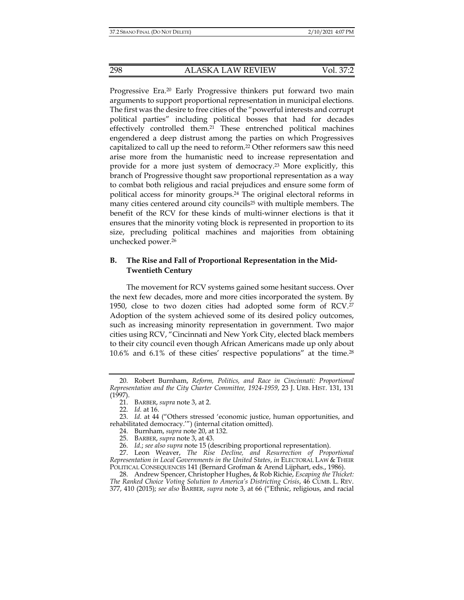Progressive Era.<sup>20</sup> Early Progressive thinkers put forward two main arguments to support proportional representation in municipal elections. The first was the desire to free cities of the "powerful interests and corrupt political parties" including political bosses that had for decades effectively controlled them.21 These entrenched political machines engendered a deep distrust among the parties on which Progressives capitalized to call up the need to reform.22 Other reformers saw this need arise more from the humanistic need to increase representation and provide for a more just system of democracy.23 More explicitly, this branch of Progressive thought saw proportional representation as a way to combat both religious and racial prejudices and ensure some form of political access for minority groups.24 The original electoral reforms in many cities centered around city councils<sup>25</sup> with multiple members. The benefit of the RCV for these kinds of multi-winner elections is that it ensures that the minority voting block is represented in proportion to its size, precluding political machines and majorities from obtaining unchecked power.26

# **B. The Rise and Fall of Proportional Representation in the Mid-Twentieth Century**

The movement for RCV systems gained some hesitant success. Over the next few decades, more and more cities incorporated the system. By 1950, close to two dozen cities had adopted some form of RCV.27 Adoption of the system achieved some of its desired policy outcomes, such as increasing minority representation in government. Two major cities using RCV, "Cincinnati and New York City, elected black members to their city council even though African Americans made up only about 10.6% and 6.1% of these cities' respective populations" at the time.28

 <sup>20.</sup> Robert Burnham, *Reform, Politics, and Race in Cincinnati: Proportional Representation and the City Charter Committee, 1924-1959*, 23 J. URB. HIST. 131, 131 (1997).

 <sup>21.</sup> BARBER, *supra* note 3, at 2.

 <sup>22.</sup> *Id.* at 16.

 <sup>23.</sup> *Id.* at 44 ("Others stressed 'economic justice, human opportunities, and rehabilitated democracy.'") (internal citation omitted).

 <sup>24.</sup> Burnham, *supra* note 20, at 132.

 <sup>25.</sup> BARBER, *supra* note 3, at 43.

 <sup>26.</sup> *Id.*; *see also supra* note 15 (describing proportional representation).

 <sup>27.</sup> Leon Weaver, *The Rise Decline, and Resurrection of Proportional Representation in Local Governments in the United States*, *in* ELECTORAL LAW & THEIR POLITICAL CONSEQUENCES 141 (Bernard Grofman & Arend Lijphart, eds., 1986).

 <sup>28.</sup> Andrew Spencer, Christopher Hughes, & Rob Richie, *Escaping the Thicket: The Ranked Choice Voting Solution to America's Districting Crisis*, 46 CUMB. L. REV. 377, 410 (2015); *see also* BARBER, *supra* note 3, at 66 ("Ethnic, religious, and racial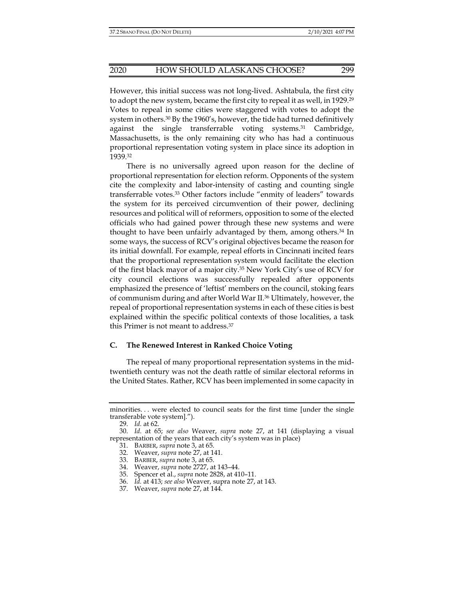However, this initial success was not long-lived. Ashtabula, the first city to adopt the new system, became the first city to repeal it as well, in 1929.29 Votes to repeal in some cities were staggered with votes to adopt the system in others.<sup>30</sup> By the 1960's, however, the tide had turned definitively against the single transferrable voting systems.31 Cambridge, Massachusetts, is the only remaining city who has had a continuous proportional representation voting system in place since its adoption in 1939.32

There is no universally agreed upon reason for the decline of proportional representation for election reform. Opponents of the system cite the complexity and labor-intensity of casting and counting single transferrable votes.33 Other factors include "enmity of leaders" towards the system for its perceived circumvention of their power, declining resources and political will of reformers, opposition to some of the elected officials who had gained power through these new systems and were thought to have been unfairly advantaged by them, among others.34 In some ways, the success of RCV's original objectives became the reason for its initial downfall. For example, repeal efforts in Cincinnati incited fears that the proportional representation system would facilitate the election of the first black mayor of a major city.35 New York City's use of RCV for city council elections was successfully repealed after opponents emphasized the presence of 'leftist' members on the council, stoking fears of communism during and after World War II.36 Ultimately, however, the repeal of proportional representation systems in each of these cities is best explained within the specific political contexts of those localities, a task this Primer is not meant to address.37

## **C. The Renewed Interest in Ranked Choice Voting**

The repeal of many proportional representation systems in the midtwentieth century was not the death rattle of similar electoral reforms in the United States. Rather, RCV has been implemented in some capacity in

minorities. . . were elected to council seats for the first time [under the single transferable vote system].").

 <sup>29.</sup> *Id.* at 62.

 <sup>30.</sup> *Id.* at 65; *see also* Weaver, *supra* note 27, at 141 (displaying a visual representation of the years that each city's system was in place)

 <sup>31.</sup> BARBER, *supra* note 3, at 65.

 <sup>32.</sup> Weaver, *supra* note 27, at 141.

 <sup>33.</sup> BARBER, *supra* note 3, at 65.

 <sup>34.</sup> Weaver, *supra* note 2727, at 143–44.

 <sup>35.</sup> Spencer et al., *supra* note 2828, at 410–11.

 <sup>36.</sup> *Id.* at 413; *see also* Weaver, supra note 27, at 143.

 <sup>37.</sup> Weaver, *supra* note 27, at 144.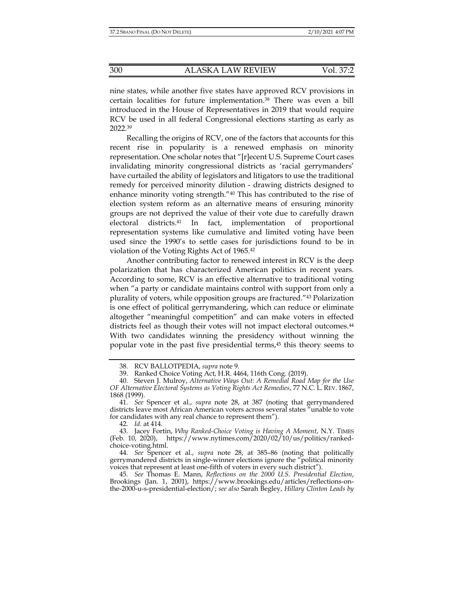nine states, while another five states have approved RCV provisions in certain localities for future implementation.38 There was even a bill introduced in the House of Representatives in 2019 that would require RCV be used in all federal Congressional elections starting as early as 2022.39

Recalling the origins of RCV, one of the factors that accounts for this recent rise in popularity is a renewed emphasis on minority representation. One scholar notes that "[r]ecent U.S. Supreme Court cases invalidating minority congressional districts as 'racial gerrymanders' have curtailed the ability of legislators and litigators to use the traditional remedy for perceived minority dilution - drawing districts designed to enhance minority voting strength."40 This has contributed to the rise of election system reform as an alternative means of ensuring minority groups are not deprived the value of their vote due to carefully drawn electoral districts.41 In fact, implementation of proportional representation systems like cumulative and limited voting have been used since the 1990's to settle cases for jurisdictions found to be in violation of the Voting Rights Act of 1965.42

Another contributing factor to renewed interest in RCV is the deep polarization that has characterized American politics in recent years. According to some, RCV is an effective alternative to traditional voting when "a party or candidate maintains control with support from only a plurality of voters, while opposition groups are fractured."43 Polarization is one effect of political gerrymandering, which can reduce or eliminate altogether "meaningful competition" and can make voters in effected districts feel as though their votes will not impact electoral outcomes.<sup>44</sup> With two candidates winning the presidency without winning the popular vote in the past five presidential terms,45 this theory seems to

 44. *See* Spencer et al., *supra* note 28, at 385–86 (noting that politically gerrymandered districts in single-winner elections ignore the "political minority voices that represent at least one-fifth of voters in every such district").

 45. *See* Thomas E. Mann, *Reflections on the 2000 U.S. Presidential Election*, Brookings (Jan. 1, 2001), https://www.brookings.edu/articles/reflections-onthe-2000-u-s-presidential-election/; *see also* Sarah Begley, *Hillary Clinton Leads by* 

 <sup>38.</sup> RCV BALLOTPEDIA, *supra* note 9.

 <sup>39.</sup> Ranked Choice Voting Act, H.R. 4464, 116th Cong. (2019).

 <sup>40.</sup> Steven J. Mulroy, *Alternative Ways Out: A Remedial Road Map for the Use OF Alternative Electoral Systems as Voting Rights Act Remedies*, 77 N.C. L. REV. 1867, 1868 (1999).

 <sup>41.</sup> *See* Spencer et al., *supra* note 28, at 387 (noting that gerrymandered districts leave most African American voters across several states "unable to vote for candidates with any real chance to represent them").

 <sup>42.</sup> *Id.* at 414.

 <sup>43.</sup> Jacey Fortin, *Why Ranked-Choice Voting is Having A Moment*, N.Y. TIMES (Feb. 10, 2020), https://www.nytimes.com/2020/02/10/us/politics/rankedchoice-voting.html.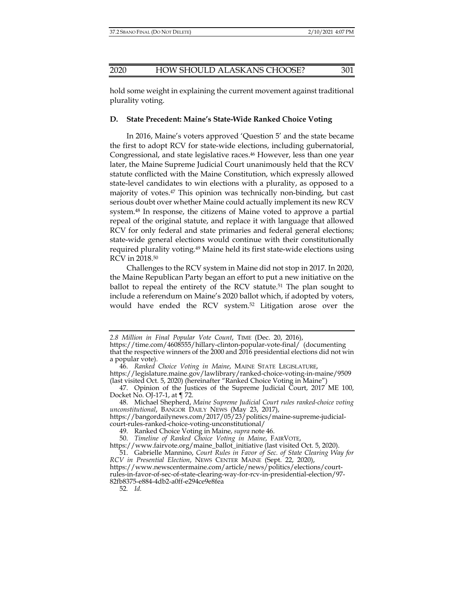hold some weight in explaining the current movement against traditional plurality voting.

#### **D. State Precedent: Maine's State-Wide Ranked Choice Voting**

In 2016, Maine's voters approved 'Question 5' and the state became the first to adopt RCV for state-wide elections, including gubernatorial, Congressional, and state legislative races.<sup>46</sup> However, less than one year later, the Maine Supreme Judicial Court unanimously held that the RCV statute conflicted with the Maine Constitution, which expressly allowed state-level candidates to win elections with a plurality, as opposed to a majority of votes.47 This opinion was technically non-binding, but cast serious doubt over whether Maine could actually implement its new RCV system.48 In response, the citizens of Maine voted to approve a partial repeal of the original statute, and replace it with language that allowed RCV for only federal and state primaries and federal general elections; state-wide general elections would continue with their constitutionally required plurality voting.<sup>49</sup> Maine held its first state-wide elections using RCV in 2018.50

Challenges to the RCV system in Maine did not stop in 2017. In 2020, the Maine Republican Party began an effort to put a new initiative on the ballot to repeal the entirety of the RCV statute.<sup>51</sup> The plan sought to include a referendum on Maine's 2020 ballot which, if adopted by voters, would have ended the RCV system.52 Litigation arose over the

52*. Id.*

*<sup>2.8</sup> Million in Final Popular Vote Count*, TIME (Dec. 20, 2016),

https://time.com/4608555/hillary-clinton-popular-vote-final/ (documenting that the respective winners of the 2000 and 2016 presidential elections did not win a popular vote).

 <sup>46.</sup> *Ranked Choice Voting in Maine*, MAINE STATE LEGISLATURE,

https://legislature.maine.gov/lawlibrary/ranked-choice-voting-in-maine/9509 (last visited Oct. 5, 2020) (hereinafter "Ranked Choice Voting in Maine")

 <sup>47.</sup> Opinion of the Justices of the Supreme Judicial Court, 2017 ME 100, Docket No. OJ-17-1, at ¶ 72.

 <sup>48.</sup> Michael Shepherd, *Maine Supreme Judicial Court rules ranked-choice voting unconstitutional*, BANGOR DAILY NEWS (May 23, 2017),

https://bangordailynews.com/2017/05/23/politics/maine-supreme-judicialcourt-rules-ranked-choice-voting-unconstitutional/

 <sup>49.</sup> Ranked Choice Voting in Maine, *supra* note 46.

 <sup>50.</sup> *Timeline of Ranked Choice Voting in Maine*, FAIRVOTE,

https://www.fairvote.org/maine\_ballot\_initiative (last visited Oct. 5, 2020).

 <sup>51.</sup> Gabrielle Mannino, *Court Rules in Favor of Sec. of State Clearing Way for RCV in Presential Election*, NEWS CENTER MAINE (Sept. 22, 2020), https://www.newscentermaine.com/article/news/politics/elections/court-

rules-in-favor-of-sec-of-state-clearing-way-for-rcv-in-presidential-election/97- 82fb8375-e884-4db2-a0ff-e294ce9e8fea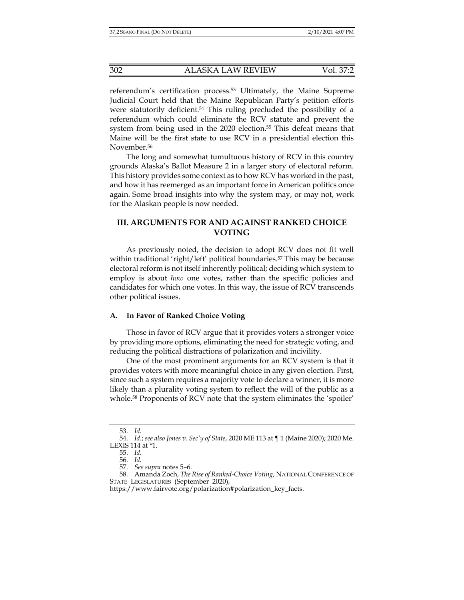referendum's certification process.53 Ultimately, the Maine Supreme Judicial Court held that the Maine Republican Party's petition efforts were statutorily deficient.<sup>54</sup> This ruling precluded the possibility of a referendum which could eliminate the RCV statute and prevent the system from being used in the 2020 election.<sup>55</sup> This defeat means that Maine will be the first state to use RCV in a presidential election this November.<sup>56</sup>

The long and somewhat tumultuous history of RCV in this country grounds Alaska's Ballot Measure 2 in a larger story of electoral reform. This history provides some context as to how RCV has worked in the past, and how it has reemerged as an important force in American politics once again. Some broad insights into why the system may, or may not, work for the Alaskan people is now needed.

# **III. ARGUMENTS FOR AND AGAINST RANKED CHOICE VOTING**

As previously noted, the decision to adopt RCV does not fit well within traditional 'right/left' political boundaries.<sup>57</sup> This may be because electoral reform is not itself inherently political; deciding which system to employ is about *how* one votes, rather than the specific policies and candidates for which one votes. In this way, the issue of RCV transcends other political issues.

# **A. In Favor of Ranked Choice Voting**

Those in favor of RCV argue that it provides voters a stronger voice by providing more options, eliminating the need for strategic voting, and reducing the political distractions of polarization and incivility.

One of the most prominent arguments for an RCV system is that it provides voters with more meaningful choice in any given election. First, since such a system requires a majority vote to declare a winner, it is more likely than a plurality voting system to reflect the will of the public as a whole.58 Proponents of RCV note that the system eliminates the 'spoiler'

 <sup>53.</sup> *Id.* 

 <sup>54.</sup> *Id.*; *see also Jones v. Sec'y of State*, 2020 ME 113 at ¶ 1 (Maine 2020); 2020 Me. LEXIS 114 at \*1.

 <sup>55.</sup> *Id.*

 <sup>56.</sup> *Id.* 

 <sup>57.</sup> *See supra* notes 5–6.

 <sup>58.</sup> Amanda Zoch, *The Rise of Ranked-Choice Voting*, NATIONAL CONFERENCE OF STATE LEGISLATURES (September 2020),

https://www.fairvote.org/polarization#polarization\_key\_facts.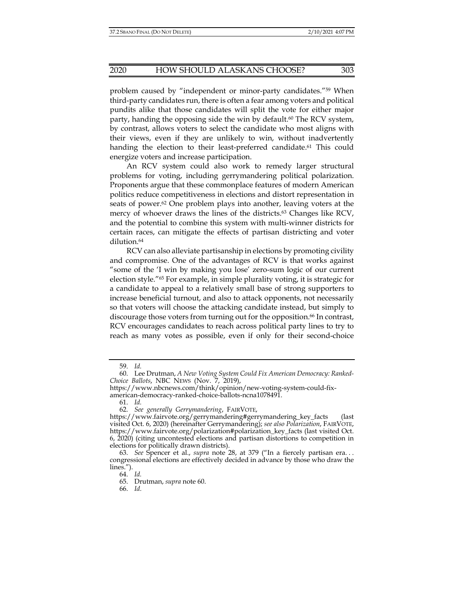problem caused by "independent or minor-party candidates."59 When third-party candidates run, there is often a fear among voters and political pundits alike that those candidates will split the vote for either major party, handing the opposing side the win by default.<sup>60</sup> The RCV system, by contrast, allows voters to select the candidate who most aligns with their views, even if they are unlikely to win, without inadvertently handing the election to their least-preferred candidate.<sup>61</sup> This could energize voters and increase participation.

An RCV system could also work to remedy larger structural problems for voting, including gerrymandering political polarization. Proponents argue that these commonplace features of modern American politics reduce competitiveness in elections and distort representation in seats of power.62 One problem plays into another, leaving voters at the mercy of whoever draws the lines of the districts.<sup>63</sup> Changes like RCV, and the potential to combine this system with multi-winner districts for certain races, can mitigate the effects of partisan districting and voter dilution.64

RCV can also alleviate partisanship in elections by promoting civility and compromise. One of the advantages of RCV is that works against "some of the 'I win by making you lose' zero-sum logic of our current election style."65 For example, in simple plurality voting, it is strategic for a candidate to appeal to a relatively small base of strong supporters to increase beneficial turnout, and also to attack opponents, not necessarily so that voters will choose the attacking candidate instead, but simply to discourage those voters from turning out for the opposition.<sup>66</sup> In contrast, RCV encourages candidates to reach across political party lines to try to reach as many votes as possible, even if only for their second-choice

 <sup>59.</sup> *Id.* 

 <sup>60.</sup> Lee Drutman, *A New Voting System Could Fix American Democracy: Ranked-Choice Ballots*, NBC NEWS (Nov. 7, 2019),

https://www.nbcnews.com/think/opinion/new-voting-system-could-fixamerican-democracy-ranked-choice-ballots-ncna1078491.

 <sup>61.</sup> *Id.* 

 <sup>62.</sup> *See generally Gerrymandering*, FAIRVOTE,

https://www.fairvote.org/gerrymandering#gerrymandering\_key\_facts (last visited Oct. 6, 2020) (hereinafter Gerrymandering); *see also Polarization*, FAIRVOTE, https://www.fairvote.org/polarization#polarization\_key\_facts (last visited Oct. 6, 2020) (citing uncontested elections and partisan distortions to competition in elections for politically drawn districts).

 <sup>63.</sup> *See* Spencer et al., *supra* note 28, at 379 ("In a fiercely partisan era. . . congressional elections are effectively decided in advance by those who draw the lines.").

 <sup>64.</sup> *Id.* 

 <sup>65.</sup> Drutman, *supra* note 60.

 <sup>66.</sup> *Id.*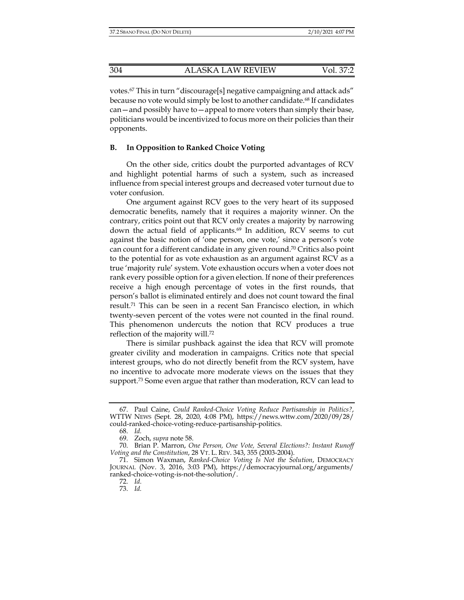votes.67 This in turn "discourage[s] negative campaigning and attack ads" because no vote would simply be lost to another candidate.<sup>68</sup> If candidates can—and possibly have to—appeal to more voters than simply their base, politicians would be incentivized to focus more on their policies than their opponents.

## **B. In Opposition to Ranked Choice Voting**

On the other side, critics doubt the purported advantages of RCV and highlight potential harms of such a system, such as increased influence from special interest groups and decreased voter turnout due to voter confusion.

One argument against RCV goes to the very heart of its supposed democratic benefits, namely that it requires a majority winner. On the contrary, critics point out that RCV only creates a majority by narrowing down the actual field of applicants.<sup>69</sup> In addition, RCV seems to cut against the basic notion of 'one person, one vote,' since a person's vote can count for a different candidate in any given round.70 Critics also point to the potential for as vote exhaustion as an argument against RCV as a true 'majority rule' system. Vote exhaustion occurs when a voter does not rank every possible option for a given election. If none of their preferences receive a high enough percentage of votes in the first rounds, that person's ballot is eliminated entirely and does not count toward the final result.71 This can be seen in a recent San Francisco election, in which twenty-seven percent of the votes were not counted in the final round. This phenomenon undercuts the notion that RCV produces a true reflection of the majority will.72

There is similar pushback against the idea that RCV will promote greater civility and moderation in campaigns. Critics note that special interest groups, who do not directly benefit from the RCV system, have no incentive to advocate more moderate views on the issues that they support.73 Some even argue that rather than moderation, RCV can lead to

 <sup>67.</sup> Paul Caine, *Could Ranked-Choice Voting Reduce Partisanship in Politics?*, WTTW NEWS (Sept. 28, 2020, 4:08 PM), https://news.wttw.com/2020/09/28/ could-ranked-choice-voting-reduce-partisanship-politics.

 <sup>68.</sup> *Id.* 

 <sup>69.</sup> Zoch, *supra* note 58.

 <sup>70.</sup> Brian P. Marron, *One Person, One Vote, Several Elections?: Instant Runoff Voting and the Constitution*, 28 VT. L. REV. 343, 355 (2003-2004).

 <sup>71.</sup> Simon Waxman, *Ranked-Choice Voting Is Not the Solution*, DEMOCRACY JOURNAL (Nov. 3, 2016, 3:03 PM), https://democracyjournal.org/arguments/ ranked-choice-voting-is-not-the-solution/.

 <sup>72.</sup> *Id.*

 <sup>73.</sup> *Id.*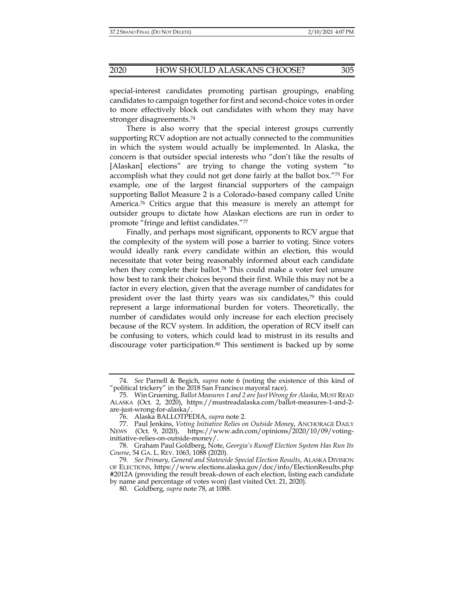special-interest candidates promoting partisan groupings, enabling candidates to campaign together for first and second-choice votes in order to more effectively block out candidates with whom they may have stronger disagreements.74

There is also worry that the special interest groups currently supporting RCV adoption are not actually connected to the communities in which the system would actually be implemented. In Alaska, the concern is that outsider special interests who "don't like the results of [Alaskan] elections" are trying to change the voting system "to accomplish what they could not get done fairly at the ballot box."75 For example, one of the largest financial supporters of the campaign supporting Ballot Measure 2 is a Colorado-based company called Unite America.76 Critics argue that this measure is merely an attempt for outsider groups to dictate how Alaskan elections are run in order to promote "fringe and leftist candidates."77

Finally, and perhaps most significant, opponents to RCV argue that the complexity of the system will pose a barrier to voting. Since voters would ideally rank every candidate within an election, this would necessitate that voter being reasonably informed about each candidate when they complete their ballot.<sup>78</sup> This could make a voter feel unsure how best to rank their choices beyond their first. While this may not be a factor in every election, given that the average number of candidates for president over the last thirty years was six candidates,79 this could represent a large informational burden for voters. Theoretically, the number of candidates would only increase for each election precisely because of the RCV system. In addition, the operation of RCV itself can be confusing to voters, which could lead to mistrust in its results and discourage voter participation.<sup>80</sup> This sentiment is backed up by some

 <sup>74.</sup> *See* Parnell & Begich, *supra* note 6 (noting the existence of this kind of "political trickery" in the 2018 San Francisco mayoral race).

 <sup>75.</sup> Win Gruening, *Ballot Measures 1 and 2 are Just Wrong for Alaska*, MUST READ ALASKA (Oct. 2, 2020), https://mustreadalaska.com/ballot-measures-1-and-2 are-just-wrong-for-alaska/.

 <sup>76.</sup> Alaska BALLOTPEDIA, *supra* note 2.

 <sup>77.</sup> Paul Jenkins, *Voting Initiative Relies on Outside Money*, ANCHORAGE DAILY NEWS (Oct. 9, 2020), https://www.adn.com/opinions/2020/10/09/votinginitiative-relies-on-outside-money/.

 <sup>78.</sup> Graham Paul Goldberg, Note, *Georgia's Runoff Election System Has Run Its Course*, 54 GA. L. REV. 1063, 1088 (2020).

 <sup>79.</sup> *See Primary, General and Statewide Special Election Results*, ALASKA DIVISION OF ELECTIONS, https://www.elections.alaska.gov/doc/info/ElectionResults.php #2012A (providing the result break-down of each election, listing each candidate by name and percentage of votes won) (last visited Oct. 21, 2020).

 <sup>80.</sup> Goldberg, *supra* note 78, at 1088.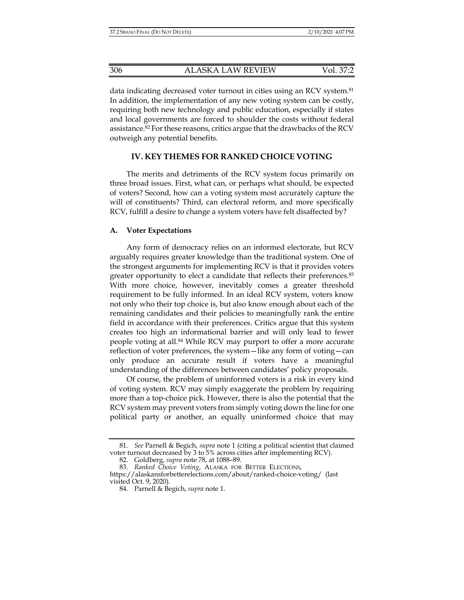data indicating decreased voter turnout in cities using an RCV system.<sup>81</sup> In addition, the implementation of any new voting system can be costly, requiring both new technology and public education, especially if states and local governments are forced to shoulder the costs without federal assistance.82 For these reasons, critics argue that the drawbacks of the RCV outweigh any potential benefits.

## **IV. KEY THEMES FOR RANKED CHOICE VOTING**

The merits and detriments of the RCV system focus primarily on three broad issues. First, what can, or perhaps what should, be expected of voters? Second, how can a voting system most accurately capture the will of constituents? Third, can electoral reform, and more specifically RCV, fulfill a desire to change a system voters have felt disaffected by?

#### **A. Voter Expectations**

Any form of democracy relies on an informed electorate, but RCV arguably requires greater knowledge than the traditional system. One of the strongest arguments for implementing RCV is that it provides voters greater opportunity to elect a candidate that reflects their preferences.<sup>83</sup> With more choice, however, inevitably comes a greater threshold requirement to be fully informed. In an ideal RCV system, voters know not only who their top choice is, but also know enough about each of the remaining candidates and their policies to meaningfully rank the entire field in accordance with their preferences. Critics argue that this system creates too high an informational barrier and will only lead to fewer people voting at all.<sup>84</sup> While RCV may purport to offer a more accurate reflection of voter preferences, the system—like any form of voting—can only produce an accurate result if voters have a meaningful understanding of the differences between candidates' policy proposals.

Of course, the problem of uninformed voters is a risk in every kind of voting system. RCV may simply exaggerate the problem by requiring more than a top-choice pick. However, there is also the potential that the RCV system may prevent voters from simply voting down the line for one political party or another, an equally uninformed choice that may

 <sup>81.</sup> *See* Parnell & Begich, *supra* note 1 (citing a political scientist that claimed voter turnout decreased by 3 to 5% across cities after implementing RCV).

 <sup>82.</sup> Goldberg, *supra* note 78, at 1088–89.

 <sup>83.</sup> *Ranked Choice Voting*, ALASKA FOR BETTER ELECTIONS,

https://alaskansforbetterelections.com/about/ranked-choice-voting/ (last visited Oct. 9, 2020).

 <sup>84.</sup> Parnell & Begich, *supra* note 1.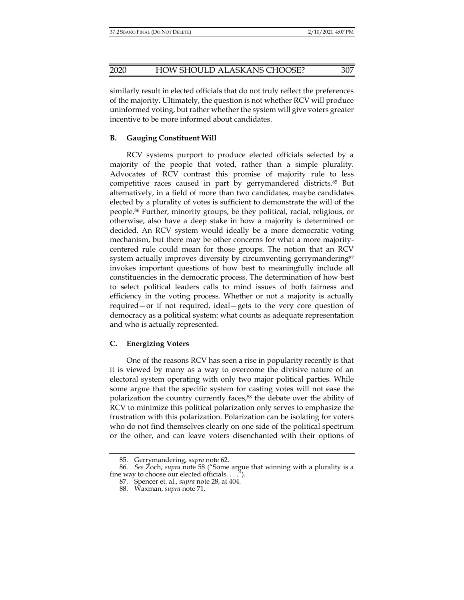similarly result in elected officials that do not truly reflect the preferences of the majority. Ultimately, the question is not whether RCV will produce uninformed voting, but rather whether the system will give voters greater incentive to be more informed about candidates.

## **B. Gauging Constituent Will**

RCV systems purport to produce elected officials selected by a majority of the people that voted, rather than a simple plurality. Advocates of RCV contrast this promise of majority rule to less competitive races caused in part by gerrymandered districts.85 But alternatively, in a field of more than two candidates, maybe candidates elected by a plurality of votes is sufficient to demonstrate the will of the people.86 Further, minority groups, be they political, racial, religious, or otherwise, also have a deep stake in how a majority is determined or decided. An RCV system would ideally be a more democratic voting mechanism, but there may be other concerns for what a more majoritycentered rule could mean for those groups. The notion that an RCV system actually improves diversity by circumventing gerrymandering<sup>87</sup> invokes important questions of how best to meaningfully include all constituencies in the democratic process. The determination of how best to select political leaders calls to mind issues of both fairness and efficiency in the voting process. Whether or not a majority is actually required—or if not required, ideal—gets to the very core question of democracy as a political system: what counts as adequate representation and who is actually represented.

#### **C. Energizing Voters**

One of the reasons RCV has seen a rise in popularity recently is that it is viewed by many as a way to overcome the divisive nature of an electoral system operating with only two major political parties. While some argue that the specific system for casting votes will not ease the polarization the country currently faces,<sup>88</sup> the debate over the ability of RCV to minimize this political polarization only serves to emphasize the frustration with this polarization. Polarization can be isolating for voters who do not find themselves clearly on one side of the political spectrum or the other, and can leave voters disenchanted with their options of

 <sup>85.</sup> Gerrymandering, *supra* note 62.

 <sup>86.</sup> *See* Zoch, *supra* note 58 ("Some argue that winning with a plurality is a fine way to choose our elected officials. . . .").

 <sup>87.</sup> Spencer et. al., *supra* note 28, at 404.

 <sup>88.</sup> Waxman, *supra* note 71.